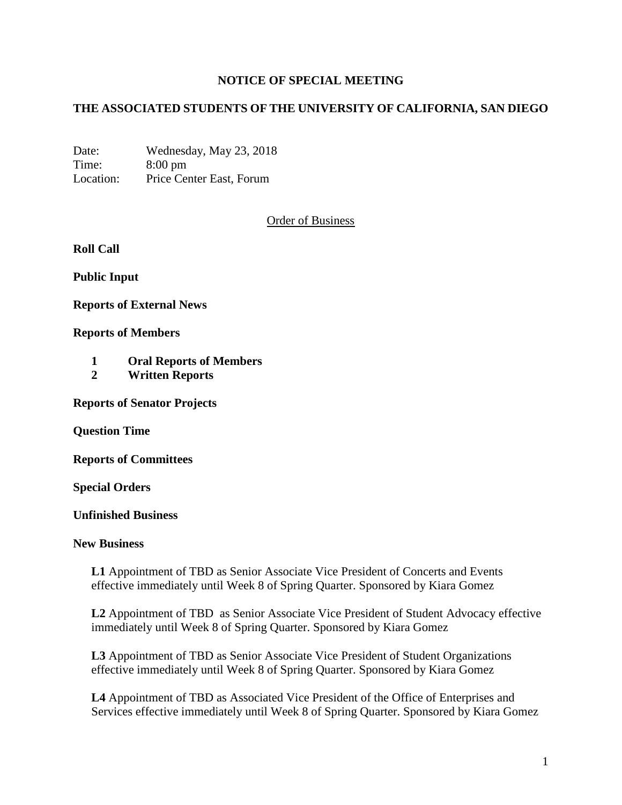## **NOTICE OF SPECIAL MEETING**

## **THE ASSOCIATED STUDENTS OF THE UNIVERSITY OF CALIFORNIA, SAN DIEGO**

Date: Wednesday, May 23, 2018 Time: 8:00 pm Location: Price Center East, Forum

Order of Business

**Roll Call**

**Public Input**

**Reports of External News**

**Reports of Members**

- **1 Oral Reports of Members**
- **2 Written Reports**

**Reports of Senator Projects**

**Question Time**

**Reports of Committees**

**Special Orders**

**Unfinished Business**

## **New Business**

**L1** Appointment of TBD as Senior Associate Vice President of Concerts and Events effective immediately until Week 8 of Spring Quarter. Sponsored by Kiara Gomez

**L2** Appointment of TBD as Senior Associate Vice President of Student Advocacy effective immediately until Week 8 of Spring Quarter. Sponsored by Kiara Gomez

**L3** Appointment of TBD as Senior Associate Vice President of Student Organizations effective immediately until Week 8 of Spring Quarter. Sponsored by Kiara Gomez

**L4** Appointment of TBD as Associated Vice President of the Office of Enterprises and Services effective immediately until Week 8 of Spring Quarter. Sponsored by Kiara Gomez